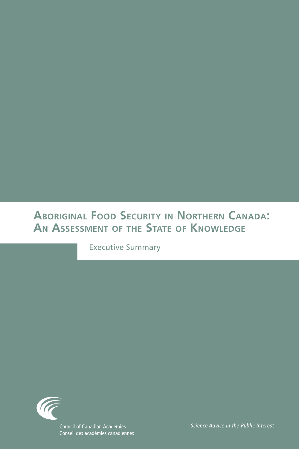# **Aboriginal Food Security in Northern Canada: An Assessment of the State of Knowledge**

Executive Summary

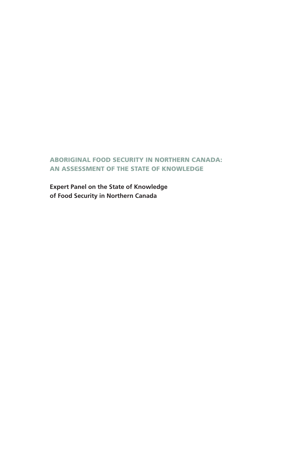# ABORIGINAL FOOD SECURITY IN NORTHERN CANADA: AN ASSESSMENT OF THE STATE OF KNOWLEDGE

**Expert Panel on the State of Knowledge of Food Security in Northern Canada**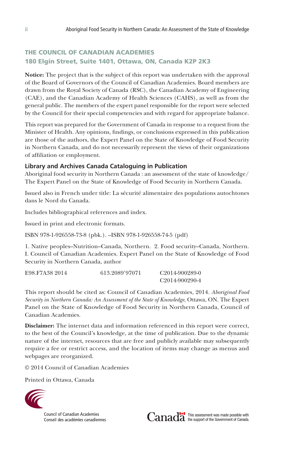# THE COUNCIL OF CANADIAN ACADEMIES 180 Elgin Street, Suite 1401, Ottawa, ON, Canada K2P 2K3

**Notice:** The project that is the subject of this report was undertaken with the approval of the Board of Governors of the Council of Canadian Academies. Board members are drawn from the Royal Society of Canada (RSC), the Canadian Academy of Engineering (CAE), and the Canadian Academy of Health Sciences (CAHS), as well as from the general public. The members of the expert panel responsible for the report were selected by the Council for their special competencies and with regard for appropriate balance.

This report was prepared for the Government of Canada in response to a request from the Minister of Health. Any opinions, findings, or conclusions expressed in this publication are those of the authors, the Expert Panel on the State of Knowledge of Food Security in Northern Canada, and do not necessarily represent the views of their organizations of affiliation or employment.

#### **Library and Archives Canada Cataloguing in Publication**

Aboriginal food security in Northern Canada : an assessment of the state of knowledge/ The Expert Panel on the State of Knowledge of Food Security in Northern Canada.

Issued also in French under title: La sécurité alimentaire des populations autochtones dans le Nord du Canada.

Includes bibliographical references and index.

Issued in print and electronic formats.

ISBN 978-1-926558-73-8 (pbk.). --ISBN 978-1-926558-74-5 (pdf)

1. Native peoples–Nutrition–Canada, Northern. 2. Food security–Canada, Northern. I. Council of Canadian Academies. Expert Panel on the State of Knowledge of Food Security in Northern Canada, author

| E98.F7A38 2014 | 613.2089'97071 | C <sub>2014-900289-0</sub> |
|----------------|----------------|----------------------------|
|                |                | C <sub>2014-900290-4</sub> |

This report should be cited as: Council of Canadian Academies, 2014. *Aboriginal Food Security in Northern Canada: An Assessment of the State of Knowledge*, Ottawa, ON. The Expert Panel on the State of Knowledge of Food Security in Northern Canada, Council of Canadian Academies.

**Disclaimer:** The internet data and information referenced in this report were correct, to the best of the Council's knowledge, at the time of publication. Due to the dynamic nature of the internet, resources that are free and publicly available may subsequently require a fee or restrict access, and the location of items may change as menus and webpages are reorganized.

© 2014 Council of Canadian Academies

Printed in Ottawa, Canada



**Council of Canadian Academies** Conseil des académies canadiennes

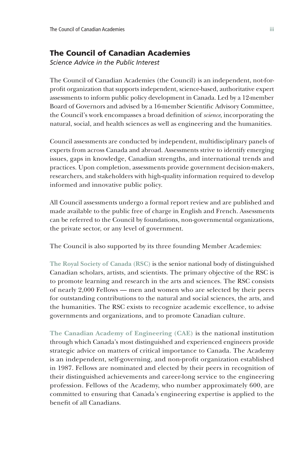# The Council of Canadian Academies

*Science Advice in the Public Interest*

The Council of Canadian Academies (the Council) is an independent, not-forprofit organization that supports independent, science-based, authoritative expert assessments to inform public policy development in Canada. Led by a 12-member Board of Governors and advised by a 16-member Scientific Advisory Committee, the Council's work encompasses a broad definition of *science*, incorporating the natural, social, and health sciences as well as engineering and the humanities.

Council assessments are conducted by independent, multidisciplinary panels of experts from across Canada and abroad. Assessments strive to identify emerging issues, gaps in knowledge, Canadian strengths, and international trends and practices. Upon completion, assessments provide government decision-makers, researchers, and stakeholders with high-quality information required to develop informed and innovative public policy.

All Council assessments undergo a formal report review and are published and made available to the public free of charge in English and French. Assessments can be referred to the Council by foundations, non-governmental organizations, the private sector, or any level of government.

The Council is also supported by its three founding Member Academies:

**The Royal Society of Canada (RSC)** is the senior national body of distinguished Canadian scholars, artists, and scientists. The primary objective of the RSC is to promote learning and research in the arts and sciences. The RSC consists of nearly 2,000 Fellows — men and women who are selected by their peers for outstanding contributions to the natural and social sciences, the arts, and the humanities. The RSC exists to recognize academic excellence, to advise governments and organizations, and to promote Canadian culture.

**The Canadian Academy of Engineering (CAE)** is the national institution through which Canada's most distinguished and experienced engineers provide strategic advice on matters of critical importance to Canada. The Academy is an independent, self-governing, and non-profit organization established in 1987. Fellows are nominated and elected by their peers in recognition of their distinguished achievements and career-long service to the engineering profession. Fellows of the Academy, who number approximately 600, are committed to ensuring that Canada's engineering expertise is applied to the benefit of all Canadians.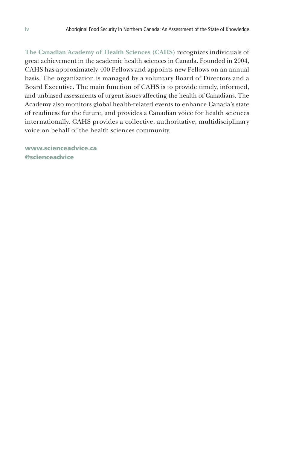**The Canadian Academy of Health Sciences (CAHS)** recognizes individuals of great achievement in the academic health sciences in Canada. Founded in 2004, CAHS has approximately 400 Fellows and appoints new Fellows on an annual basis. The organization is managed by a voluntary Board of Directors and a Board Executive. The main function of CAHS is to provide timely, informed, and unbiased assessments of urgent issues affecting the health of Canadians. The Academy also monitors global health-related events to enhance Canada's state of readiness for the future, and provides a Canadian voice for health sciences internationally. CAHS provides a collective, authoritative, multidisciplinary voice on behalf of the health sciences community.

www.scienceadvice.ca @scienceadvice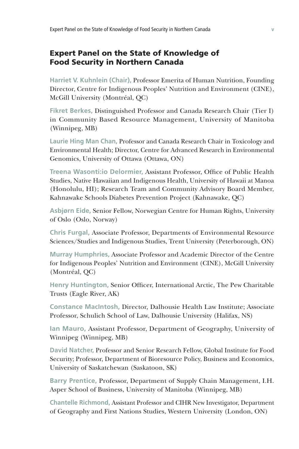# Expert Panel on the State of Knowledge of Food Security in Northern Canada

**Harriet V. Kuhnlein (Chair),** Professor Emerita of Human Nutrition, Founding Director, Centre for Indigenous Peoples' Nutrition and Environment (CINE), McGill University (Montréal, QC)

**Fikret Berkes,** Distinguished Professor and Canada Research Chair (Tier I) in Community Based Resource Management, University of Manitoba (Winnipeg, MB)

**Laurie Hing Man Chan,** Professor and Canada Research Chair in Toxicology and Environmental Health; Director, Centre for Advanced Research in Environmental Genomics, University of Ottawa (Ottawa, ON)

**Treena Wasonti:io Delormier,** Assistant Professor, Office of Public Health Studies, Native Hawaiian and Indigenous Health, University of Hawaii at Manoa (Honolulu, HI); Research Team and Community Advisory Board Member, Kahnawake Schools Diabetes Prevention Project (Kahnawake, QC)

**Asbjørn Eide,** Senior Fellow, Norwegian Centre for Human Rights, University of Oslo (Oslo, Norway)

**Chris Furgal,** Associate Professor, Departments of Environmental Resource Sciences/Studies and Indigenous Studies, Trent University (Peterborough, ON)

**Murray Humphries,** Associate Professor and Academic Director of the Centre for Indigenous Peoples' Nutrition and Environment (CINE), McGill University (Montréal, QC)

**Henry Huntington,** Senior Officer, International Arctic, The Pew Charitable Trusts (Eagle River, AK)

**Constance MacIntosh,** Director, Dalhousie Health Law Institute; Associate Professor, Schulich School of Law, Dalhousie University (Halifax, NS)

**Ian Mauro,** Assistant Professor, Department of Geography, University of Winnipeg (Winnipeg, MB)

**David Natcher,** Professor and Senior Research Fellow, Global Institute for Food Security; Professor, Department of Bioresource Policy, Business and Economics, University of Saskatchewan (Saskatoon, SK)

**Barry Prentice,** Professor, Department of Supply Chain Management, I.H. Asper School of Business, University of Manitoba (Winnipeg, MB)

**Chantelle Richmond,** Assistant Professor and CIHR New Investigator, Department of Geography and First Nations Studies, Western University (London, ON)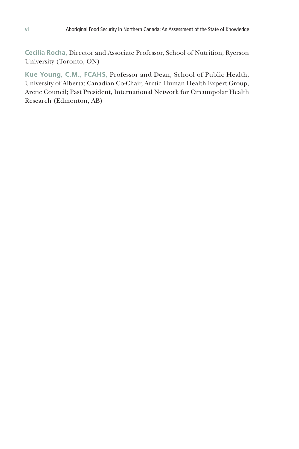**Cecilia Rocha,** Director and Associate Professor, School of Nutrition, Ryerson University (Toronto, ON)

**Kue Young, C.M., FCAHS,** Professor and Dean, School of Public Health, University of Alberta; Canadian Co-Chair, Arctic Human Health Expert Group, Arctic Council; Past President, International Network for Circumpolar Health Research (Edmonton, AB)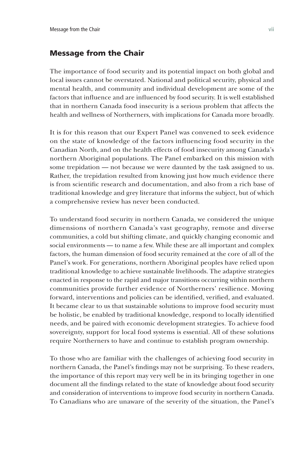# Message from the Chair

The importance of food security and its potential impact on both global and local issues cannot be overstated. National and political security, physical and mental health, and community and individual development are some of the factors that influence and are influenced by food security. It is well established that in northern Canada food insecurity is a serious problem that affects the health and wellness of Northerners, with implications for Canada more broadly.

It is for this reason that our Expert Panel was convened to seek evidence on the state of knowledge of the factors influencing food security in the Canadian North, and on the health effects of food insecurity among Canada's northern Aboriginal populations. The Panel embarked on this mission with some trepidation — not because we were daunted by the task assigned to us. Rather, the trepidation resulted from knowing just how much evidence there is from scientific research and documentation, and also from a rich base of traditional knowledge and grey literature that informs the subject, but of which a comprehensive review has never been conducted.

To understand food security in northern Canada, we considered the unique dimensions of northern Canada's vast geography, remote and diverse communities, a cold but shifting climate, and quickly changing economic and social environments — to name a few. While these are all important and complex factors, the human dimension of food security remained at the core of all of the Panel's work. For generations, northern Aboriginal peoples have relied upon traditional knowledge to achieve sustainable livelihoods. The adaptive strategies enacted in response to the rapid and major transitions occurring within northern communities provide further evidence of Northerners' resilience. Moving forward, interventions and policies can be identified, verified, and evaluated. It became clear to us that sustainable solutions to improve food security must be holistic, be enabled by traditional knowledge, respond to locally identified needs, and be paired with economic development strategies. To achieve food sovereignty, support for local food systems is essential. All of these solutions require Northerners to have and continue to establish program ownership.

To those who are familiar with the challenges of achieving food security in northern Canada, the Panel's findings may not be surprising. To these readers, the importance of this report may very well be in its bringing together in one document all the findings related to the state of knowledge about food security and consideration of interventions to improve food security in northern Canada. To Canadians who are unaware of the severity of the situation, the Panel's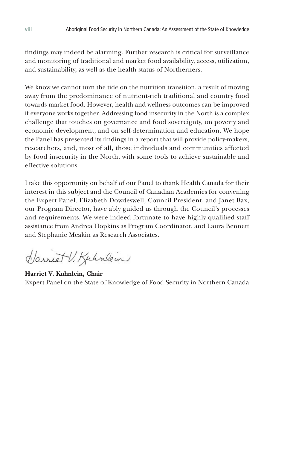findings may indeed be alarming. Further research is critical for surveillance and monitoring of traditional and market food availability, access, utilization, and sustainability, as well as the health status of Northerners.

We know we cannot turn the tide on the nutrition transition, a result of moving away from the predominance of nutrient-rich traditional and country food towards market food. However, health and wellness outcomes can be improved if everyone works together. Addressing food insecurity in the North is a complex challenge that touches on governance and food sovereignty, on poverty and economic development, and on self-determination and education. We hope the Panel has presented its findings in a report that will provide policy-makers, researchers, and, most of all, those individuals and communities affected by food insecurity in the North, with some tools to achieve sustainable and effective solutions.

I take this opportunity on behalf of our Panel to thank Health Canada for their interest in this subject and the Council of Canadian Academies for convening the Expert Panel. Elizabeth Dowdeswell, Council President, and Janet Bax, our Program Director, have ably guided us through the Council's processes and requirements. We were indeed fortunate to have highly qualified staff assistance from Andrea Hopkins as Program Coordinator, and Laura Bennett and Stephanie Meakin as Research Associates.

Harriet V. Kuhnlein

**Harriet V. Kuhnlein, Chair**  Expert Panel on the State of Knowledge of Food Security in Northern Canada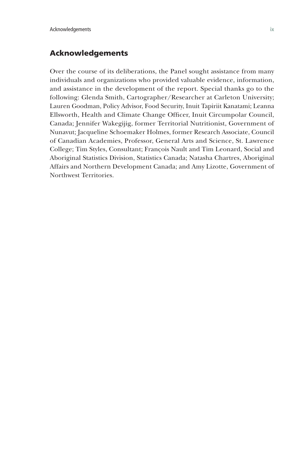# Acknowledgements

Over the course of its deliberations, the Panel sought assistance from many individuals and organizations who provided valuable evidence, information, and assistance in the development of the report. Special thanks go to the following: Glenda Smith, Cartographer/Researcher at Carleton University; Lauren Goodman, Policy Advisor, Food Security, Inuit Tapiriit Kanatami; Leanna Ellsworth, Health and Climate Change Officer, Inuit Circumpolar Council, Canada; Jennifer Wakegijig, former Territorial Nutritionist, Government of Nunavut; Jacqueline Schoemaker Holmes, former Research Associate, Council of Canadian Academies, Professor, General Arts and Science, St. Lawrence College; Tim Styles, Consultant; François Nault and Tim Leonard, Social and Aboriginal Statistics Division, Statistics Canada; Natasha Chartres, Aboriginal Affairs and Northern Development Canada; and Amy Lizotte, Government of Northwest Territories.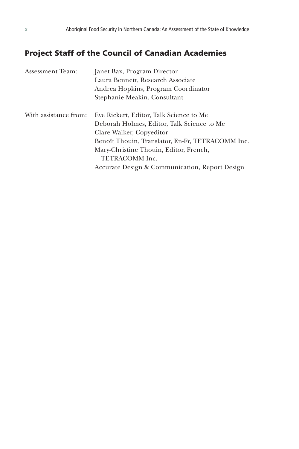# Project Staff of the Council of Canadian Academies

| Assessment Team:      | Janet Bax, Program Director                      |
|-----------------------|--------------------------------------------------|
|                       | Laura Bennett, Research Associate                |
|                       | Andrea Hopkins, Program Coordinator              |
|                       | Stephanie Meakin, Consultant                     |
|                       |                                                  |
| With assistance from: | Eve Rickert, Editor, Talk Science to Me          |
|                       | Deborah Holmes, Editor, Talk Science to Me       |
|                       | Clare Walker, Copyeditor                         |
|                       | Benoît Thouin, Translator, En-Fr, TETRACOMM Inc. |
|                       | Mary-Christine Thouin, Editor, French,           |
|                       | <b>TETRACOMM</b> Inc.                            |
|                       | Accurate Design & Communication, Report Design   |
|                       |                                                  |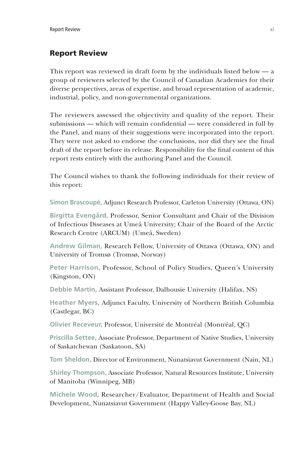# Report Review

This report was reviewed in draft form by the individuals listed below — a group of reviewers selected by the Council of Canadian Academies for their diverse perspectives, areas of expertise, and broad representation of academic, industrial, policy, and non-governmental organizations.

The reviewers assessed the objectivity and quality of the report. Their submissions — which will remain confidential — were considered in full by the Panel, and many of their suggestions were incorporated into the report. They were not asked to endorse the conclusions, nor did they see the final draft of the report before its release. Responsibility for the final content of this report rests entirely with the authoring Panel and the Council.

The Council wishes to thank the following individuals for their review of this report:

**Simon Brascoupé,** Adjunct Research Professor, Carleton University (Ottawa, ON)

**Birgitta Evengård,** Professor, Senior Consultant and Chair of the Division of Infectious Diseases at Umeå University; Chair of the Board of the Arctic Research Centre (ARCUM) (Umeå, Sweden)

**Andrew Gilman,** Research Fellow, University of Ottawa (Ottawa, ON) and University of Tromsø (Tromsø, Norway)

**Peter Harrison,** Professor, School of Policy Studies, Queen's University (Kingston, ON)

**Debbie Martin,** Assistant Professor, Dalhousie University (Halifax, NS)

**Heather Myers,** Adjunct Faculty, University of Northern British Columbia (Castlegar, BC)

**Olivier Receveur,** Professor, Université de Montréal (Montréal, QC)

**Priscilla Settee,** Associate Professor, Department of Native Studies, University of Saskatchewan (Saskatoon, SA)

**Tom Sheldon,** Director of Environment, Nunatsiavut Government (Nain, NL)

**Shirley Thompson,** Associate Professor, Natural Resources Institute, University of Manitoba (Winnipeg, MB)

**Michele Wood,** Researcher/Evaluator, Department of Health and Social Development, Nunatsiavut Government (Happy Valley-Goose Bay, NL)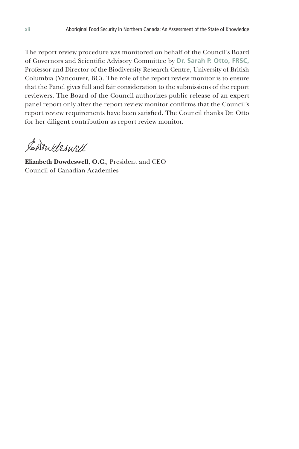The report review procedure was monitored on behalf of the Council's Board of Governors and Scientific Advisory Committee by **Dr. Sarah P. Otto, FRSC,**  Professor and Director of the Biodiversity Research Centre, University of British Columbia (Vancouver, BC). The role of the report review monitor is to ensure that the Panel gives full and fair consideration to the submissions of the report reviewers. The Board of the Council authorizes public release of an expert panel report only after the report review monitor confirms that the Council's report review requirements have been satisfied. The Council thanks Dr. Otto for her diligent contribution as report review monitor.

Carrideswell

**Elizabeth Dowdeswell**, **O.C.**, President and CEO Council of Canadian Academies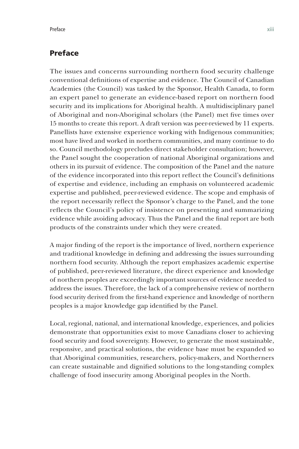# Preface

The issues and concerns surrounding northern food security challenge conventional definitions of expertise and evidence. The Council of Canadian Academies (the Council) was tasked by the Sponsor, Health Canada, to form an expert panel to generate an evidence-based report on northern food security and its implications for Aboriginal health. A multidisciplinary panel of Aboriginal and non-Aboriginal scholars (the Panel) met five times over 15 months to create this report. A draft version was peer-reviewed by 11 experts. Panellists have extensive experience working with Indigenous communities; most have lived and worked in northern communities, and many continue to do so. Council methodology precludes direct stakeholder consultation; however, the Panel sought the cooperation of national Aboriginal organizations and others in its pursuit of evidence. The composition of the Panel and the nature of the evidence incorporated into this report reflect the Council's definitions of expertise and evidence, including an emphasis on volunteered academic expertise and published, peer-reviewed evidence. The scope and emphasis of the report necessarily reflect the Sponsor's charge to the Panel, and the tone reflects the Council's policy of insistence on presenting and summarizing evidence while avoiding advocacy. Thus the Panel and the final report are both products of the constraints under which they were created.

A major finding of the report is the importance of lived, northern experience and traditional knowledge in defining and addressing the issues surrounding northern food security. Although the report emphasizes academic expertise of published, peer-reviewed literature, the direct experience and knowledge of northern peoples are exceedingly important sources of evidence needed to address the issues. Therefore, the lack of a comprehensive review of northern food security derived from the first-hand experience and knowledge of northern peoples is a major knowledge gap identified by the Panel.

Local, regional, national, and international knowledge, experiences, and policies demonstrate that opportunities exist to move Canadians closer to achieving food security and food sovereignty. However, to generate the most sustainable, responsive, and practical solutions, the evidence base must be expanded so that Aboriginal communities, researchers, policy-makers, and Northerners can create sustainable and dignified solutions to the long-standing complex challenge of food insecurity among Aboriginal peoples in the North.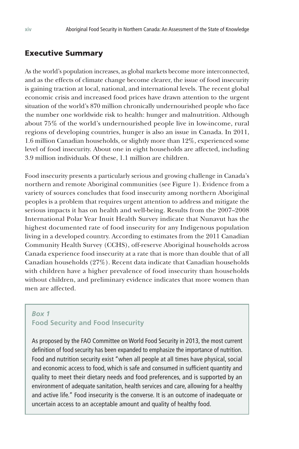# Executive Summary

As the world's population increases, as global markets become more interconnected, and as the effects of climate change become clearer, the issue of food insecurity is gaining traction at local, national, and international levels. The recent global economic crisis and increased food prices have drawn attention to the urgent situation of the world's 870 million chronically undernourished people who face the number one worldwide risk to health: hunger and malnutrition. Although about 75% of the world's undernourished people live in low-income, rural regions of developing countries, hunger is also an issue in Canada. In 2011, 1.6 million Canadian households, or slightly more than 12%, experienced some level of food insecurity. About one in eight households are affected, including 3.9 million individuals. Of these, 1.1 million are children.

Food insecurity presents a particularly serious and growing challenge in Canada's northern and remote Aboriginal communities (see Figure 1). Evidence from a variety of sources concludes that food insecurity among northern Aboriginal peoples is a problem that requires urgent attention to address and mitigate the serious impacts it has on health and well-being. Results from the 2007–2008 International Polar Year Inuit Health Survey indicate that Nunavut has the highest documented rate of food insecurity for any Indigenous population living in a developed country. According to estimates from the 2011 Canadian Community Health Survey (CCHS), off-reserve Aboriginal households across Canada experience food insecurity at a rate that is more than double that of all Canadian households (27%). Recent data indicate that Canadian households with children have a higher prevalence of food insecurity than households without children, and preliminary evidence indicates that more women than men are affected.

# *Box 1* **Food Security and Food Insecurity**

As proposed by the FAO Committee on World Food Security in 2013, the most current definition of food security has been expanded to emphasize the importance of nutrition. Food and nutrition security exist "when all people at all times have physical, social and economic access to food, which is safe and consumed in sufficient quantity and quality to meet their dietary needs and food preferences, and is supported by an environment of adequate sanitation, health services and care, allowing for a healthy and active life." Food insecurity is the converse. It is an outcome of inadequate or uncertain access to an acceptable amount and quality of healthy food.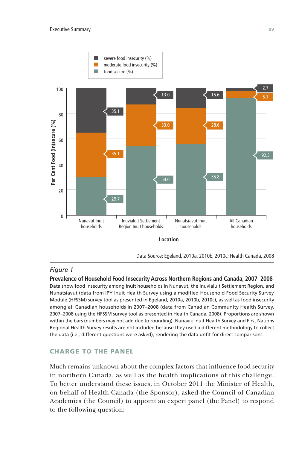

#### *Figure 1*

**Prevalence of Household Food Insecurity Across Northern Regions and Canada, 2007–2008** Data show food insecurity among Inuit households in Nunavut, the Inuvialuit Settlement Region, and Nunatsiavut (data from IPY Inuit Health Survey using a modified Household Food Security Survey Module (HFSSM) survey tool as presented in Egeland, 2010a, 2010b, 2010c), as well as food insecurity among all Canadian households in 2007–2008 (data from Canadian Community Health Survey, 2007–2008 using the HFSSM survey tool as presented in Health Canada, 2008). Proportions are shown within the bars (numbers may not add due to rounding). Nunavik Inuit Health Survey and First Nations Regional Health Survey results are not included because they used a different methodology to collect the data (i.e., different questions were asked), rendering the data unfit for direct comparisons.

#### CHARGE TO THE PANEL

Much remains unknown about the complex factors that influence food security in northern Canada, as well as the health implications of this challenge. To better understand these issues, in October 2011 the Minister of Health, on behalf of Health Canada (the Sponsor), asked the Council of Canadian Academies (the Council) to appoint an expert panel (the Panel) to respond to the following question: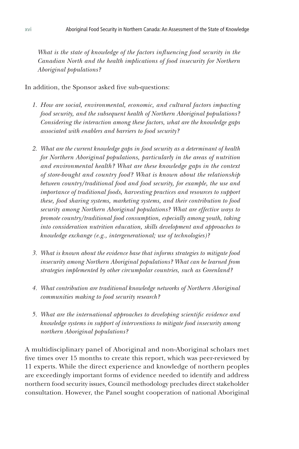What is the state of knowledge of the factors influencing food security in the *Canadian North and the health implications of food insecurity for Northern Aboriginal populations?*

In addition, the Sponsor asked five sub-questions:

- *1. How are social, environmental, economic, and cultural factors impacting food security, and the subsequent health of Northern Aboriginal populations? Considering the interaction among these factors, what are the knowledge gaps associated with enablers and barriers to food security?*
- *2. What are the current knowledge gaps in food security as a determinant of health for Northern Aboriginal populations, particularly in the areas of nutrition and environmental health? What are these knowledge gaps in the context of store-bought and country food? What is known about the relationship between country/traditional food and food security, for example, the use and importance of traditional foods, harvesting practices and resources to support these, food sharing systems, marketing systems, and their contribution to food security among Northern Aboriginal populations? What are effective ways to promote country/traditional food consumption, especially among youth, taking into consideration nutrition education, skills development and approaches to knowledge exchange (e.g., intergenerational; use of technologies)?*
- *3. What is known about the evidence base that informs strategies to mitigate food insecurity among Northern Aboriginal populations? What can be learned from strategies implemented by other circumpolar countries, such as Greenland?*
- *4. What contribution are traditional knowledge networks of Northern Aboriginal communities making to food security research?*
- *5. What are the international approaches to developing scientific evidence and knowledge systems in support of interventions to mitigate food insecurity among northern Aboriginal populations?*

A multidisciplinary panel of Aboriginal and non-Aboriginal scholars met five times over 15 months to create this report, which was peer-reviewed by 11 experts. While the direct experience and knowledge of northern peoples are exceedingly important forms of evidence needed to identify and address northern food security issues, Council methodology precludes direct stakeholder consultation. However, the Panel sought cooperation of national Aboriginal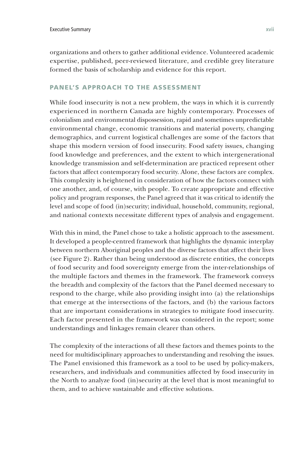organizations and others to gather additional evidence. Volunteered academic expertise, published, peer-reviewed literature, and credible grey literature formed the basis of scholarship and evidence for this report.

#### PANEL'S APPROACH TO THE ASSESSMENT

While food insecurity is not a new problem, the ways in which it is currently experienced in northern Canada are highly contemporary. Processes of colonialism and environmental dispossession, rapid and sometimes unpredictable environmental change, economic transitions and material poverty, changing demographics, and current logistical challenges are some of the factors that shape this modern version of food insecurity. Food safety issues, changing food knowledge and preferences, and the extent to which intergenerational knowledge transmission and self-determination are practiced represent other factors that affect contemporary food security. Alone, these factors are complex. This complexity is heightened in consideration of how the factors connect with one another, and, of course, with people. To create appropriate and effective policy and program responses, the Panel agreed that it was critical to identify the level and scope of food (in)security; individual, household, community, regional, and national contexts necessitate different types of analysis and engagement.

With this in mind, the Panel chose to take a holistic approach to the assessment. It developed a people-centred framework that highlights the dynamic interplay between northern Aboriginal peoples and the diverse factors that affect their lives (see Figure 2). Rather than being understood as discrete entities, the concepts of food security and food sovereignty emerge from the inter-relationships of the multiple factors and themes in the framework. The framework conveys the breadth and complexity of the factors that the Panel deemed necessary to respond to the charge, while also providing insight into (a) the relationships that emerge at the intersections of the factors, and (b) the various factors that are important considerations in strategies to mitigate food insecurity. Each factor presented in the framework was considered in the report; some understandings and linkages remain clearer than others.

The complexity of the interactions of all these factors and themes points to the need for multidisciplinary approaches to understanding and resolving the issues. The Panel envisioned this framework as a tool to be used by policy-makers, researchers, and individuals and communities affected by food insecurity in the North to analyze food (in)security at the level that is most meaningful to them, and to achieve sustainable and effective solutions.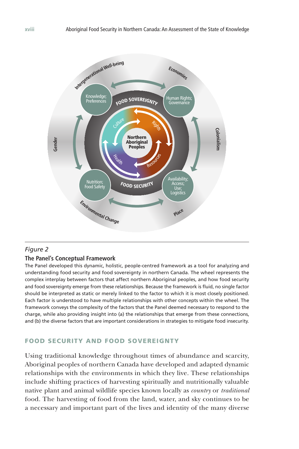

# *Figure 2*

### **The Panel's Conceptual Framework**

The Panel developed this dynamic, holistic, people-centred framework as a tool for analyzing and understanding food security and food sovereignty in northern Canada. The wheel represents the complex interplay between factors that affect northern Aboriginal peoples, and how food security and food sovereignty emerge from these relationships. Because the framework is fluid, no single factor should be interpreted as static or merely linked to the factor to which it is most closely positioned. Each factor is understood to have multiple relationships with other concepts within the wheel. The framework conveys the complexity of the factors that the Panel deemed necessary to respond to the charge, while also providing insight into (a) the relationships that emerge from these connections, and (b) the diverse factors that are important considerations in strategies to mitigate food insecurity.

# FOOD SECURITY AND FOOD SOVEREIGNTY

Using traditional knowledge throughout times of abundance and scarcity, Aboriginal peoples of northern Canada have developed and adapted dynamic relationships with the environments in which they live. These relationships include shifting practices of harvesting spiritually and nutritionally valuable native plant and animal wildlife species known locally as *country* or *traditional*  food. The harvesting of food from the land, water, and sky continues to be a necessary and important part of the lives and identity of the many diverse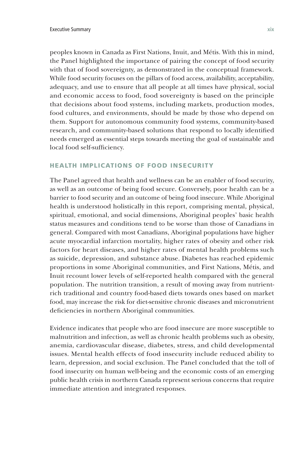peoples known in Canada as First Nations, Inuit, and Métis. With this in mind, the Panel highlighted the importance of pairing the concept of food security with that of food sovereignty, as demonstrated in the conceptual framework. While food security focuses on the pillars of food access, availability, acceptability, adequacy, and use to ensure that all people at all times have physical, social and economic access to food, food sovereignty is based on the principle that decisions about food systems, including markets, production modes, food cultures, and environments, should be made by those who depend on them. Support for autonomous community food systems, community-based research, and community-based solutions that respond to locally identified needs emerged as essential steps towards meeting the goal of sustainable and local food self-sufficiency.

#### HEALTH IMPLICATIONS OF FOOD INSECURITY

The Panel agreed that health and wellness can be an enabler of food security, as well as an outcome of being food secure. Conversely, poor health can be a barrier to food security and an outcome of being food insecure. While Aboriginal health is understood holistically in this report, comprising mental, physical, spiritual, emotional, and social dimensions, Aboriginal peoples' basic health status measures and conditions tend to be worse than those of Canadians in general. Compared with most Canadians, Aboriginal populations have higher acute myocardial infarction mortality, higher rates of obesity and other risk factors for heart diseases, and higher rates of mental health problems such as suicide, depression, and substance abuse. Diabetes has reached epidemic proportions in some Aboriginal communities, and First Nations, Métis, and Inuit recount lower levels of self-reported health compared with the general population. The nutrition transition, a result of moving away from nutrientrich traditional and country food-based diets towards ones based on market food, may increase the risk for diet-sensitive chronic diseases and micronutrient deficiencies in northern Aboriginal communities.

Evidence indicates that people who are food insecure are more susceptible to malnutrition and infection, as well as chronic health problems such as obesity, anemia, cardiovascular disease, diabetes, stress, and child developmental issues. Mental health effects of food insecurity include reduced ability to learn, depression, and social exclusion. The Panel concluded that the toll of food insecurity on human well-being and the economic costs of an emerging public health crisis in northern Canada represent serious concerns that require immediate attention and integrated responses.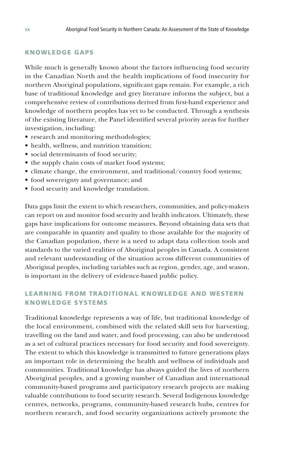### KNOWLEDGE GAPS

While much is generally known about the factors influencing food security in the Canadian North and the health implications of food insecurity for northern Aboriginal populations, significant gaps remain. For example, a rich base of traditional knowledge and grey literature informs the subject, but a comprehensive review of contributions derived from first-hand experience and knowledge of northern peoples has yet to be conducted. Through a synthesis of the existing literature, the Panel identified several priority areas for further investigation, including:

- research and monitoring methodologies;
- health, wellness, and nutrition transition;
- social determinants of food security;
- the supply chain costs of market food systems;
- climate change, the environment, and traditional/country food systems;
- food sovereignty and governance; and
- food security and knowledge translation.

Data gaps limit the extent to which researchers, communities, and policy-makers can report on and monitor food security and health indicators. Ultimately, these gaps have implications for outcome measures. Beyond obtaining data sets that are comparable in quantity and quality to those available for the majority of the Canadian population, there is a need to adapt data collection tools and standards to the varied realities of Aboriginal peoples in Canada. A consistent and relevant understanding of the situation across different communities of Aboriginal peoples, including variables such as region, gender, age, and season, is important in the delivery of evidence-based public policy.

# LEARNING FROM TRADITIONAL KNOWLEDGE AND WESTERN KNOWLEDGE SYSTEMS

Traditional knowledge represents a way of life, but traditional knowledge of the local environment, combined with the related skill sets for harvesting, travelling on the land and water, and food processing, can also be understood as a set of cultural practices necessary for food security and food sovereignty. The extent to which this knowledge is transmitted to future generations plays an important role in determining the health and wellness of individuals and communities. Traditional knowledge has always guided the lives of northern Aboriginal peoples, and a growing number of Canadian and international community-based programs and participatory research projects are making valuable contributions to food security research. Several Indigenous knowledge centres, networks, programs, community-based research hubs, centres for northern research, and food security organizations actively promote the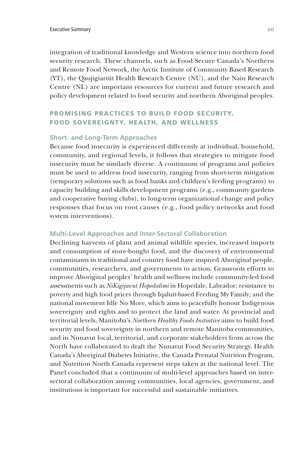integration of traditional knowledge and Western science into northern food security research. These channels, such as Food Secure Canada's Northern and Remote Food Network, the Arctic Institute of Community Based Research (YT), the Qaujigiartiit Health Research Centre (NU), and the Nain Research Centre (NL) are important resources for current and future research and policy development related to food security and northern Aboriginal peoples.

# PROMISING PRACTICES TO BUILD FOOD SECURITY, FOOD SOVEREIGNTY, HEALTH, AND WELLNESS

#### **Short- and Long-Term Approaches**

Because food insecurity is experienced differently at individual, household, community, and regional levels, it follows that strategies to mitigate food insecurity must be similarly diverse. A continuum of programs and policies must be used to address food insecurity, ranging from short-term mitigation (temporary solutions such as food banks and children's feeding programs) to capacity building and skills development programs (e.g., community gardens and cooperative buying clubs), to long-term organizational change and policy responses that focus on root causes (e.g., food policy networks and food system interventions).

#### **Multi-Level Approaches and Inter-Sectoral Collaboration**

Declining harvests of plant and animal wildlife species, increased imports and consumption of store-bought food, and the discovery of environmental contaminants in traditional and country food have inspired Aboriginal people, communities, researchers, and governments to action. Grassroots efforts to improve Aboriginal peoples' health and wellness include community-led food assessments such as *NiKigijavut Hopedalimi* in Hopedale, Labrador; resistance to poverty and high food prices through Iqaluit-based Feeding My Family; and the national movement Idle No More, which aims to peacefully honour Indigenous sovereignty and rights and to protect the land and water. At provincial and territorial levels, Manitoba's *Northern Healthy Foods Initiative* aims to build food security and food sovereignty in northern and remote Manitoba communities, and in Nunavut local, territorial, and corporate stakeholders from across the North have collaborated to draft the Nunavut Food Security Strategy. Health Canada's Aboriginal Diabetes Initiative, the Canada Prenatal Nutrition Program, and Nutrition North Canada represent steps taken at the national level. The Panel concluded that a continuum of multi-level approaches based on intersectoral collaboration among communities, local agencies, government, and institutions is important for successful and sustainable initiatives.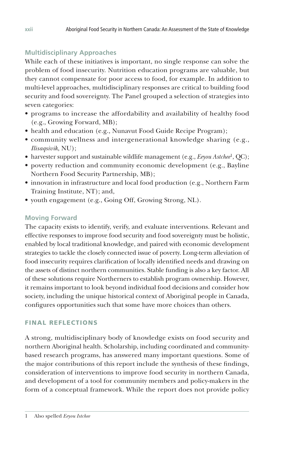# **Multidisciplinary Approaches**

While each of these initiatives is important, no single response can solve the problem of food insecurity. Nutrition education programs are valuable, but they cannot compensate for poor access to food, for example. In addition to multi-level approaches, multidisciplinary responses are critical to building food security and food sovereignty. The Panel grouped a selection of strategies into seven categories:

- programs to increase the affordability and availability of healthy food (e.g., Growing Forward, MB);
- health and education (e.g., Nunavut Food Guide Recipe Program);
- community wellness and intergenerational knowledge sharing (e.g., *Ilisaqsivik*, NU);
- harvester support and sustainable wildlife management (e.g., *Eeyou Astchee*1, QC);
- poverty reduction and community economic development (e.g., Bayline Northern Food Security Partnership, MB);
- innovation in infrastructure and local food production (e.g., Northern Farm Training Institute, NT); and,
- youth engagement (e.g., Going Off, Growing Strong, NL).

# **Moving Forward**

The capacity exists to identify, verify, and evaluate interventions. Relevant and effective responses to improve food security and food sovereignty must be holistic, enabled by local traditional knowledge, and paired with economic development strategies to tackle the closely connected issue of poverty. Long-term alleviation of food insecurity requires clarification of locally identified needs and drawing on the assets of distinct northern communities. Stable funding is also a key factor. All of these solutions require Northerners to establish program ownership. However, it remains important to look beyond individual food decisions and consider how society, including the unique historical context of Aboriginal people in Canada, configures opportunities such that some have more choices than others.

# FINAL REFLECTIONS

A strong, multidisciplinary body of knowledge exists on food security and northern Aboriginal health. Scholarship, including coordinated and communitybased research programs, has answered many important questions. Some of the major contributions of this report include the synthesis of these findings, consideration of interventions to improve food security in northern Canada, and development of a tool for community members and policy-makers in the form of a conceptual framework. While the report does not provide policy